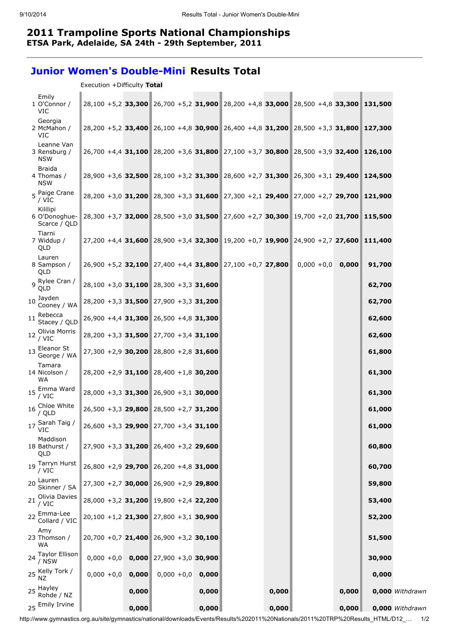## 2011 Trampoline Sports National Championships ETSA Park, Adelaide, SA 24th - 29th September, 2011

## Junior Women's Double-Mini Results Total

| Execution +Difficulty Total |  |
|-----------------------------|--|

| Emily<br>1 O'Connor /<br><b>VIC</b>                                            | 28,100 +5,2 33,300 26,700 +5,2 31,900 28,200 +4,8 33,000 28,500 +4,8 33,300 131,500 |                            |       |       |                     |       |        |                 |
|--------------------------------------------------------------------------------|-------------------------------------------------------------------------------------|----------------------------|-------|-------|---------------------|-------|--------|-----------------|
| Georgia<br>2 McMahon /<br>VIC                                                  | 28,200 +5,2 33,400 26,100 +4,8 30,900 26,400 +4,8 31,200 28,500 +3,3 31,800 127,300 |                            |       |       |                     |       |        |                 |
| Leanne Van<br>3 Rensburg /<br><b>NSW</b>                                       | 26,700 +4,4 31,100 28,200 +3,6 31,800 27,100 +3,7 30,800 28,500 +3,9 32,400 126,100 |                            |       |       |                     |       |        |                 |
| <b>Braida</b><br>4 Thomas /<br><b>NSW</b>                                      | 28,900 +3,6 32,500 28,100 +3,2 31,300 28,600 +2,7 31,300 26,300 +3,1 29,400 124,500 |                            |       |       |                     |       |        |                 |
| 5 Paige Crane<br>/ VIC                                                         | 28,200 +3,0 31,200 28,300 +3,3 31,600 27,300 +2,1 29,400 27,000 +2,7 29,700 121,900 |                            |       |       |                     |       |        |                 |
| Kililipi<br>6 O'Donoghue-<br>Scarce / QLD                                      | 28,300 +3,7 32,000 28,500 +3,0 31,500 27,600 +2,7 30,300 19,700 +2,0 21,700 115,500 |                            |       |       |                     |       |        |                 |
| Tiarni<br>7 Widdup /<br>QLD                                                    | 27,200 +4,4 31,600 28,900 +3,4 32,300 19,200 +0,7 19,900 24,900 +2,7 27,600 111,400 |                            |       |       |                     |       |        |                 |
| Lauren<br>8 Sampson /<br>QLD                                                   | $26,900 + 5,2$ 32,100 27,400 +4,4 31,800 27,100 +0,7 27,800                         |                            |       |       | $0,000 + 0,0$ 0,000 |       | 91,700 |                 |
| <sub>9</sub> Rylee Cran /<br>QLD                                               | $28,100 + 3,0$ 31,100 28,300 +3,3 31,600                                            |                            |       |       |                     |       | 62,700 |                 |
| $10 \n\begin{array}{c}\n\text{Jayden} \\ \text{A}\n\end{array}$<br>Cooney / WA | 28,200 +3,3 31,500 27,900 +3,3 31,200                                               |                            |       |       |                     |       | 62,700 |                 |
| Rebecca<br>11<br>Stacey / QLD                                                  | 26,900 +4,4 31,300 26,500 +4,8 31,300                                               |                            |       |       |                     |       | 62,600 |                 |
| 12 Olivia Morris<br>/ VIC                                                      | 28,200 +3,3 31,500 27,700 +3,4 31,100                                               |                            |       |       |                     |       | 62,600 |                 |
| 13 Eleanor St<br>George / WA                                                   | $27,300 + 2,9$ 30,200 28,800 + 2,8 31,600                                           |                            |       |       |                     |       | 61,800 |                 |
| Tamara<br>14 Nicolson /<br>WA                                                  | 28,200 +2,9 31,100 28,400 +1,8 30,200                                               |                            |       |       |                     |       | 61,300 |                 |
| 15 Emma Ward<br>/ VIC                                                          | $28,000 + 3,3$ 31,300 26,900 + 3,1 30,000                                           |                            |       |       |                     |       | 61,300 |                 |
| 16 Chloe White<br>/ QLD                                                        | $26,500 + 3,3$ 29,800 28,500 + 2,7 31,200                                           |                            |       |       |                     |       | 61,000 |                 |
| 17 Sarah Taig /<br>VIC                                                         | 26,600 +3,3 29,900 27,700 +3,4 31,100                                               |                            |       |       |                     |       | 61,000 |                 |
| Maddison<br>18 Bathurst /<br>QLD                                               | $27,900 + 3,3$ 31,200 26,400 +3,2 29,600                                            |                            |       |       |                     |       | 60,800 |                 |
| 19 Tarryn Hurst<br>/ VIC                                                       | 26,800 +2,9 29,700 26,200 +4,8 31,000                                               |                            |       |       |                     |       | 60,700 |                 |
| 20 Lauren<br>Skinner / SA                                                      | 27,300 +2,7 30,000 26,900 +2,9 29,800                                               |                            |       |       |                     |       | 59,800 |                 |
| 21 Olivia Davies<br>/ VIC                                                      | 28,000 +3,2 31,200 19,800 +2,4 22,200                                               |                            |       |       |                     |       | 53,400 |                 |
| 22 Emma-Lee<br>Collard / VIC                                                   | $20,100 + 1,2$ 21,300 27,800 + 3,1 30,900                                           |                            |       |       |                     |       | 52,200 |                 |
| Amy<br>23 Thomson /<br>WA                                                      | $20,700 + 0,7$ 21,400 26,900 +3,2 30,100                                            |                            |       |       |                     |       | 51,500 |                 |
| 24 Taylor Ellison<br>/ NSW                                                     | $0,000 + 0,0$                                                                       | $0,000$ 27,900 +3,0 30,900 |       |       |                     |       | 30,900 |                 |
| 25 Kelly Tork /                                                                | $0,000 + 0,0$<br>0,000                                                              | $0,000 + 0,0$              | 0,000 |       |                     |       | 0,000  |                 |
| 25 Hayley<br>Rohde / NZ                                                        | 0,000                                                                               |                            | 0,000 | 0,000 |                     | 0,000 |        | 0,000 Withdrawn |
| 25 Emily Irvine                                                                | 0,000                                                                               |                            | 0,000 | 0,000 |                     | 0,000 |        | 0,000 Withdrawn |

http://www.gymnastics.org.au/site/gymnastics/national/downloads/Events/Results%202011%20Nationals/2011%20TRP%20Results\_HTML/D12\_… 1/2